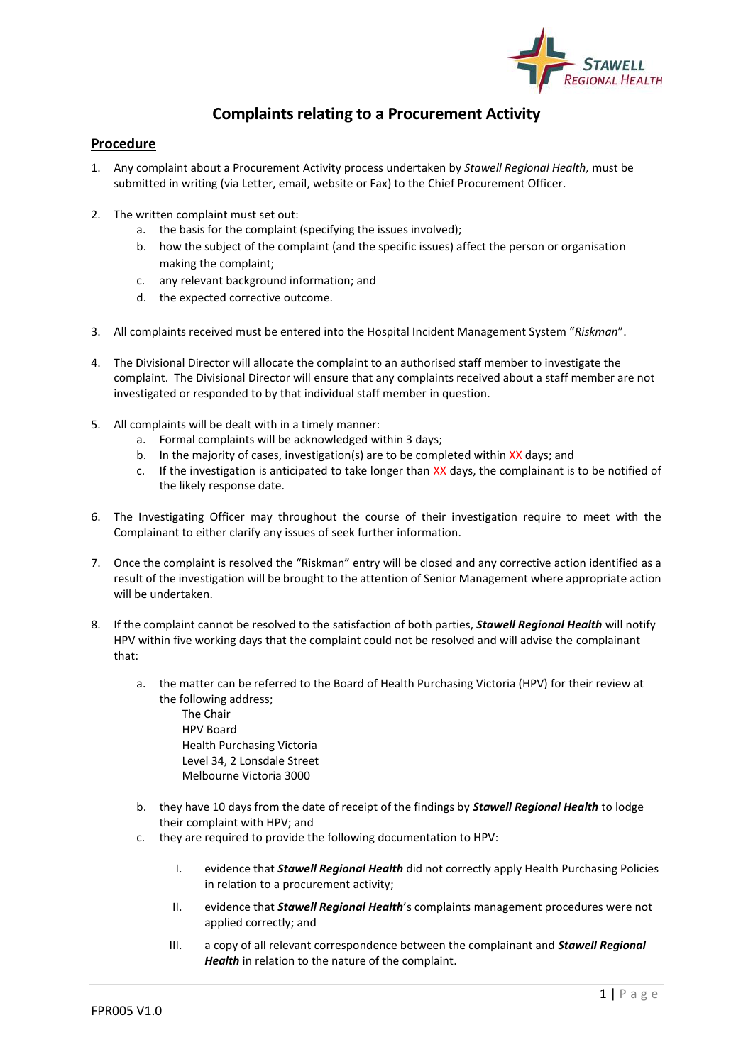

## **Complaints relating to a Procurement Activity**

## **Procedure**

- 1. Any complaint about a Procurement Activity process undertaken by *Stawell Regional Health,* must be submitted in writing (via Letter, email, website or Fax) to the Chief Procurement Officer.
- 2. The written complaint must set out:
	- a. the basis for the complaint (specifying the issues involved);
	- b. how the subject of the complaint (and the specific issues) affect the person or organisation making the complaint;
	- c. any relevant background information; and
	- d. the expected corrective outcome.
- 3. All complaints received must be entered into the Hospital Incident Management System "*Riskman*".
- 4. The Divisional Director will allocate the complaint to an authorised staff member to investigate the complaint. The Divisional Director will ensure that any complaints received about a staff member are not investigated or responded to by that individual staff member in question.
- 5. All complaints will be dealt with in a timely manner:
	- a. Formal complaints will be acknowledged within 3 days;
	- b. In the majority of cases, investigation(s) are to be completed within XX days; and
	- c. If the investigation is anticipated to take longer than XX days, the complainant is to be notified of the likely response date.
- 6. The Investigating Officer may throughout the course of their investigation require to meet with the Complainant to either clarify any issues of seek further information.
- 7. Once the complaint is resolved the "Riskman" entry will be closed and any corrective action identified as a result of the investigation will be brought to the attention of Senior Management where appropriate action will be undertaken.
- 8. If the complaint cannot be resolved to the satisfaction of both parties, *Stawell Regional Health* will notify HPV within five working days that the complaint could not be resolved and will advise the complainant that:
	- a. the matter can be referred to the Board of Health Purchasing Victoria (HPV) for their review at the following address;
		- The Chair HPV Board Health Purchasing Victoria Level 34, 2 Lonsdale Street Melbourne Victoria 3000
	- b. they have 10 days from the date of receipt of the findings by *Stawell Regional Health* to lodge their complaint with HPV; and
	- c. they are required to provide the following documentation to HPV:
		- I. evidence that *Stawell Regional Health* did not correctly apply Health Purchasing Policies in relation to a procurement activity;
		- II. evidence that *Stawell Regional Health*'s complaints management procedures were not applied correctly; and
		- III. a copy of all relevant correspondence between the complainant and *Stawell Regional Health* in relation to the nature of the complaint.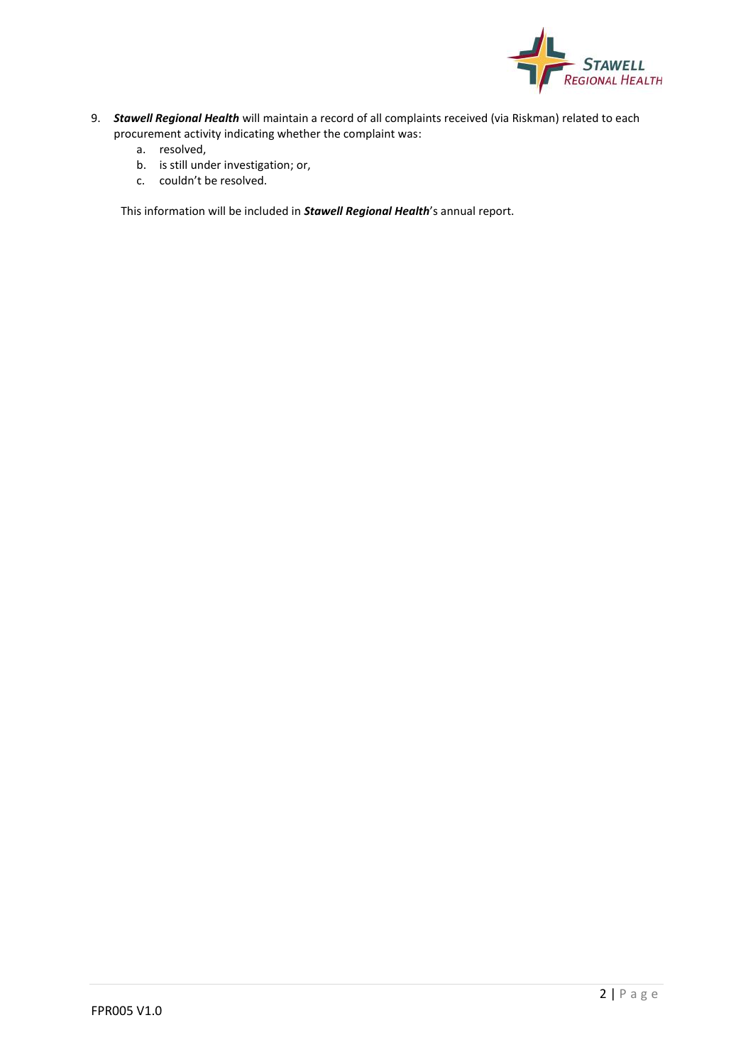

- 9. *Stawell Regional Health* will maintain a record of all complaints received (via Riskman) related to each procurement activity indicating whether the complaint was:
	- a. resolved,
	- b. is still under investigation; or,
	- c. couldn't be resolved.

This information will be included in *Stawell Regional Health*'s annual report.